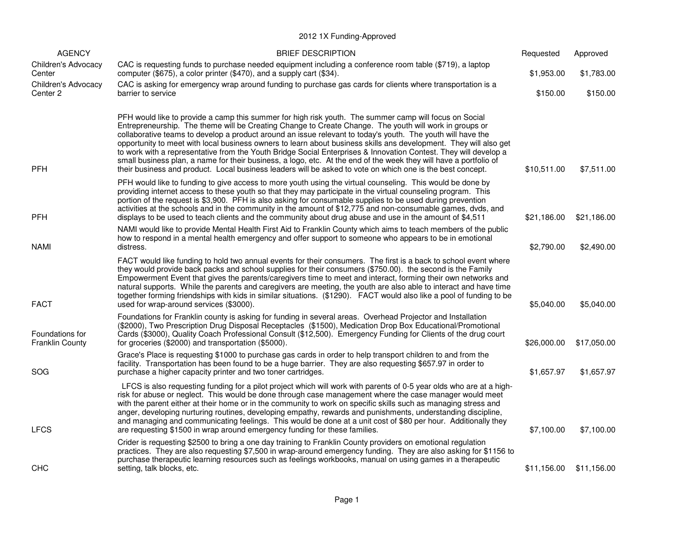## 2012 1X Funding-Approved

| <b>AGENCY</b>                             | <b>BRIEF DESCRIPTION</b>                                                                                                                                                                                                                                                                                                                                                                                                                                                                                                                                                                                                                                                                                                                                                                                    | Requested   | Approved    |
|-------------------------------------------|-------------------------------------------------------------------------------------------------------------------------------------------------------------------------------------------------------------------------------------------------------------------------------------------------------------------------------------------------------------------------------------------------------------------------------------------------------------------------------------------------------------------------------------------------------------------------------------------------------------------------------------------------------------------------------------------------------------------------------------------------------------------------------------------------------------|-------------|-------------|
| Children's Advocacy<br>Center             | CAC is requesting funds to purchase needed equipment including a conference room table (\$719), a laptop<br>computer (\$675), a color printer (\$470), and a supply cart (\$34).                                                                                                                                                                                                                                                                                                                                                                                                                                                                                                                                                                                                                            | \$1,953.00  | \$1,783.00  |
| Children's Advocacy<br>Center 2           | CAC is asking for emergency wrap around funding to purchase gas cards for clients where transportation is a<br>barrier to service                                                                                                                                                                                                                                                                                                                                                                                                                                                                                                                                                                                                                                                                           | \$150.00    | \$150.00    |
| <b>PFH</b>                                | PFH would like to provide a camp this summer for high risk youth. The summer camp will focus on Social<br>Entrepreneurship. The theme will be Creating Change to Create Change. The youth will work in groups or<br>collaborative teams to develop a product around an issue relevant to today's youth. The youth will have the<br>opportunity to meet with local business owners to learn about business skills ans development. They will also get<br>to work with a representative from the Youth Bridge Social Enterprises & Innovation Contest. They will develop a<br>small business plan, a name for their business, a logo, etc. At the end of the week they will have a portfolio of<br>their business and product. Local business leaders will be asked to vote on which one is the best concept. | \$10,511.00 | \$7,511.00  |
| <b>PFH</b>                                | PFH would like to funding to give access to more youth using the virtual counseling. This would be done by<br>providing internet access to these youth so that they may participate in the virtual counseling program. This<br>portion of the request is \$3,900. PFH is also asking for consumable supplies to be used during prevention<br>activities at the schools and in the community in the amount of \$12,775 and non-consumable games, dvds, and<br>displays to be used to teach clients and the community about drug abuse and use in the amount of \$4,511                                                                                                                                                                                                                                       | \$21,186.00 | \$21,186.00 |
| <b>NAMI</b>                               | NAMI would like to provide Mental Health First Aid to Franklin County which aims to teach members of the public<br>how to respond in a mental health emergency and offer support to someone who appears to be in emotional<br>distress.                                                                                                                                                                                                                                                                                                                                                                                                                                                                                                                                                                     | \$2,790.00  | \$2,490.00  |
| <b>FACT</b>                               | FACT would like funding to hold two annual events for their consumers. The first is a back to school event where<br>they would provide back packs and school supplies for their consumers (\$750.00). the second is the Family<br>Empowerment Event that gives the parents/caregivers time to meet and interact, forming their own networks and<br>natural supports. While the parents and caregivers are meeting, the youth are also able to interact and have time<br>together forming friendships with kids in similar situations. (\$1290). FACT would also like a pool of funding to be<br>used for wrap-around services (\$3000).                                                                                                                                                                     | \$5,040.00  | \$5,040.00  |
| Foundations for<br><b>Franklin County</b> | Foundations for Franklin county is asking for funding in several areas. Overhead Projector and Installation<br>(\$2000), Two Prescription Drug Disposal Receptacles (\$1500), Medication Drop Box Educational/Promotional<br>Cards (\$3000), Quality Coach Professional Consult (\$12,500). Emergency Funding for Clients of the drug court<br>for groceries (\$2000) and transportation (\$5000).                                                                                                                                                                                                                                                                                                                                                                                                          | \$26,000.00 | \$17,050.00 |
| SOG                                       | Grace's Place is requesting \$1000 to purchase gas cards in order to help transport children to and from the<br>facility. Transportation has been found to be a huge barrier. They are also requesting \$657.97 in order to<br>purchase a higher capacity printer and two toner cartridges.                                                                                                                                                                                                                                                                                                                                                                                                                                                                                                                 | \$1,657.97  | \$1,657.97  |
| <b>LFCS</b>                               | LFCS is also requesting funding for a pilot project which will work with parents of 0-5 year olds who are at a high-<br>risk for abuse or neglect. This would be done through case management where the case manager would meet<br>with the parent either at their home or in the community to work on specific skills such as managing stress and<br>anger, developing nurturing routines, developing empathy, rewards and punishments, understanding discipline,<br>and managing and communicating feelings. This would be done at a unit cost of \$80 per hour. Additionally they<br>are requesting \$1500 in wrap around emergency funding for these families.                                                                                                                                          | \$7,100.00  | \$7,100.00  |
| CHC                                       | Crider is requesting \$2500 to bring a one day training to Franklin County providers on emotional regulation<br>practices. They are also requesting \$7,500 in wrap-around emergency funding. They are also asking for \$1156 to<br>purchase therapeutic learning resources such as feelings workbooks, manual on using games in a therapeutic<br>setting, talk blocks, etc.                                                                                                                                                                                                                                                                                                                                                                                                                                | \$11,156.00 | \$11,156.00 |